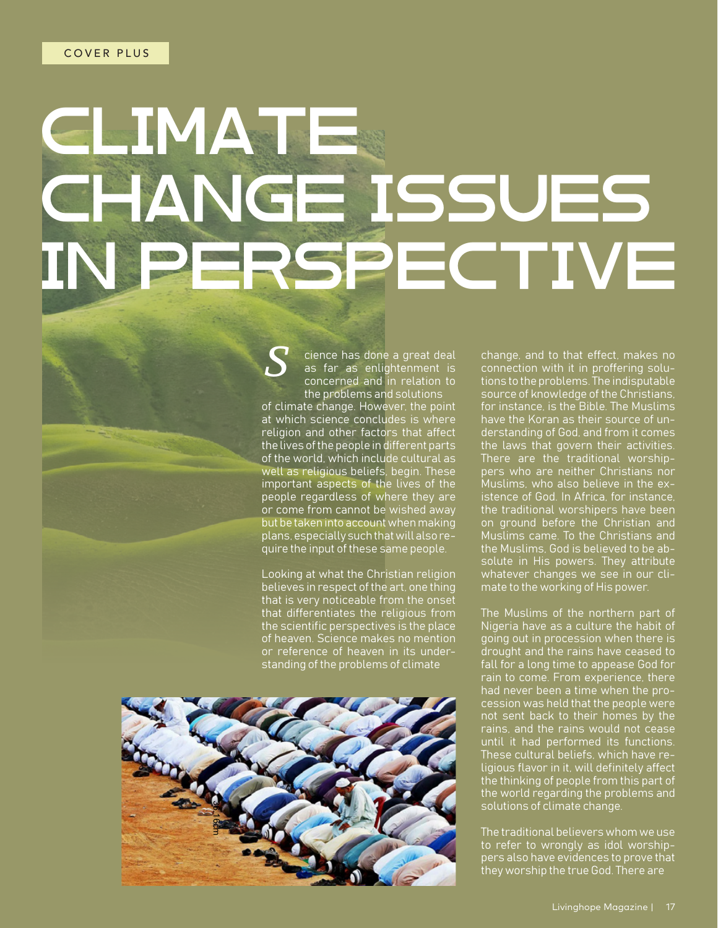## CLIMATE CHANGE ISSUES in Perspective

cience has done a great deal as far as enlightenment is concerned and in relation to the problems and solutions *S*

of climate change. However, the point at which science concludes is where religion and other factors that affect the lives of the people in different parts of the world, which include cultural as well as religious beliefs, begin. These important aspects of the lives of the people regardless of where they are or come from cannot be wished away but be taken into account when making plans, especiallysuch that will also require the input of these same people.

Looking at what the Christian religion believes in respect of the art, one thing that is very noticeable from the onset that differentiates the religious from the scientific perspectives is the place of heaven. Science makes no mention or reference of heaven in its understanding of the problems of climate



change, and to that effect, makes no connection with it in proffering solutions to the problems. The indisputable source of knowledge of the Christians, for instance, is the Bible. The Muslims have the Koran as their source of understanding of God, and from it comes the laws that govern their activities. There are the traditional worshippers who are neither Christians nor Muslims, who also believe in the existence of God. In Africa, for instance, the traditional worshipers have been on ground before the Christian and Muslims came. To the Christians and the Muslims, God is believed to be absolute in His powers. They attribute whatever changes we see in our climate to the working of His power.

The Muslims of the northern part of Nigeria have as a culture the habit of going out in procession when there is drought and the rains have ceased to fall for a long time to appease God for rain to come. From experience, there had never been a time when the procession was held that the people were not sent back to their homes by the rains, and the rains would not cease until it had performed its functions. These cultural beliefs, which have religious flavor in it, will definitely affect the thinking of people from this part of the world regarding the problems and solutions of climate change.

The traditional believers whom we use to refer to wrongly as idol worshippers also have evidences to prove that they worship the true God. There are